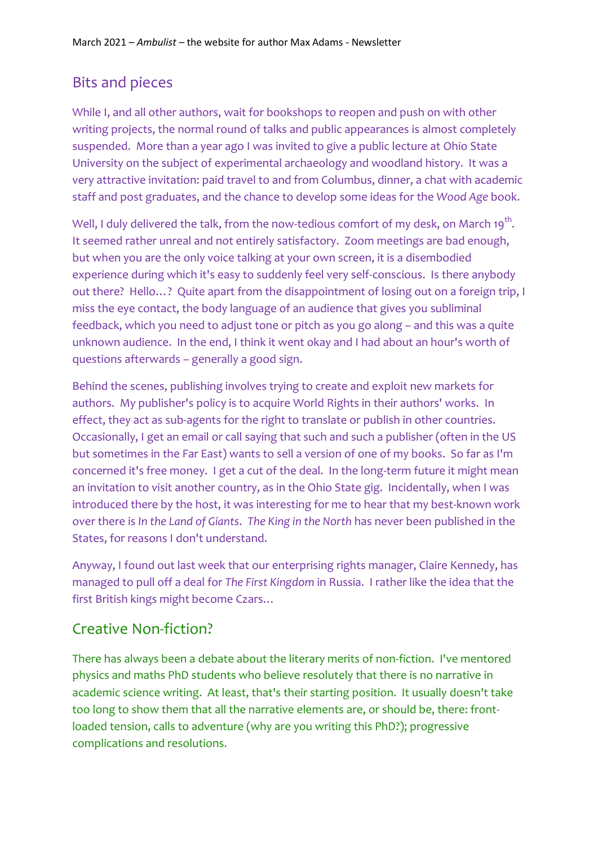## Bits and pieces

While I, and all other authors, wait for bookshops to reopen and push on with other writing projects, the normal round of talks and public appearances is almost completely suspended. More than a year ago I was invited to give a public lecture at Ohio State University on the subject of experimental archaeology and woodland history. It was a very attractive invitation: paid travel to and from Columbus, dinner, a chat with academic staff and post graduates, and the chance to develop some ideas for the *Wood Age* book.

Well, I duly delivered the talk, from the now-tedious comfort of my desk, on March 19 $^{\rm th}$ . It seemed rather unreal and not entirely satisfactory. Zoom meetings are bad enough, but when you are the only voice talking at your own screen, it is a disembodied experience during which it's easy to suddenly feel very self-conscious. Is there anybody out there? Hello…? Quite apart from the disappointment of losing out on a foreign trip, I miss the eye contact, the body language of an audience that gives you subliminal feedback, which you need to adjust tone or pitch as you go along – and this was a quite unknown audience. In the end, I think it went okay and I had about an hour's worth of questions afterwards – generally a good sign.

Behind the scenes, publishing involves trying to create and exploit new markets for authors. My publisher's policy is to acquire World Rights in their authors' works. In effect, they act as sub-agents for the right to translate or publish in other countries. Occasionally, I get an email or call saying that such and such a publisher (often in the US but sometimes in the Far East) wants to sell a version of one of my books. So far as I'm concerned it's free money. I get a cut of the deal. In the long-term future it might mean an invitation to visit another country, as in the Ohio State gig. Incidentally, when I was introduced there by the host, it was interesting for me to hear that my best-known work over there is *In the Land of Giants*. *The King in the North* has never been published in the States, for reasons I don't understand.

Anyway, I found out last week that our enterprising rights manager, Claire Kennedy, has managed to pull off a deal for *The First Kingdom* in Russia. I rather like the idea that the first British kings might become Czars…

## Creative Non-fiction?

There has always been a debate about the literary merits of non-fiction. I've mentored physics and maths PhD students who believe resolutely that there is no narrative in academic science writing. At least, that's their starting position. It usually doesn't take too long to show them that all the narrative elements are, or should be, there: frontloaded tension, calls to adventure (why are you writing this PhD?); progressive complications and resolutions.